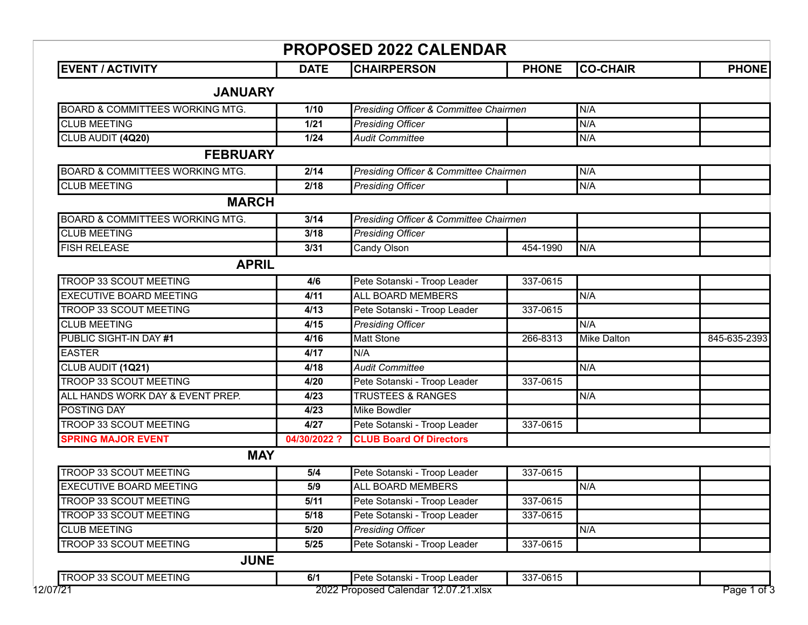| <b>PROPOSED 2022 CALENDAR</b>              |              |                                                   |              |                    |              |  |  |
|--------------------------------------------|--------------|---------------------------------------------------|--------------|--------------------|--------------|--|--|
| <b>EVENT / ACTIVITY</b>                    | <b>DATE</b>  | <b>CHAIRPERSON</b>                                | <b>PHONE</b> | <b>CO-CHAIR</b>    | <b>PHONE</b> |  |  |
| <b>JANUARY</b>                             |              |                                                   |              |                    |              |  |  |
| <b>BOARD &amp; COMMITTEES WORKING MTG.</b> | 1/10         | <b>Presiding Officer &amp; Committee Chairmen</b> |              | N/A                |              |  |  |
| <b>CLUB MEETING</b>                        | $1/21$       | <b>Presiding Officer</b>                          |              | N/A                |              |  |  |
| CLUB AUDIT (4Q20)                          | $1/24$       | <b>Audit Committee</b>                            |              | N/A                |              |  |  |
| <b>FEBRUARY</b>                            |              |                                                   |              |                    |              |  |  |
| <b>BOARD &amp; COMMITTEES WORKING MTG.</b> | 2/14         | <b>Presiding Officer &amp; Committee Chairmen</b> |              | N/A                |              |  |  |
| <b>CLUB MEETING</b>                        | 2/18         | <b>Presiding Officer</b>                          |              | N/A                |              |  |  |
| <b>MARCH</b>                               |              |                                                   |              |                    |              |  |  |
| <b>BOARD &amp; COMMITTEES WORKING MTG.</b> | 3/14         | Presiding Officer & Committee Chairmen            |              |                    |              |  |  |
| <b>CLUB MEETING</b>                        | 3/18         | <b>Presiding Officer</b>                          |              |                    |              |  |  |
| <b>FISH RELEASE</b>                        | 3/31         | Candy Olson                                       | 454-1990     | N/A                |              |  |  |
| <b>APRIL</b>                               |              |                                                   |              |                    |              |  |  |
| TROOP 33 SCOUT MEETING                     | 4/6          | Pete Sotanski - Troop Leader                      | 337-0615     |                    |              |  |  |
| <b>EXECUTIVE BOARD MEETING</b>             | 4/11         | <b>ALL BOARD MEMBERS</b>                          |              | N/A                |              |  |  |
| TROOP 33 SCOUT MEETING                     | 4/13         | Pete Sotanski - Troop Leader                      | 337-0615     |                    |              |  |  |
| <b>CLUB MEETING</b>                        | 4/15         | <b>Presiding Officer</b>                          |              | N/A                |              |  |  |
| PUBLIC SIGHT-IN DAY #1                     | 4/16         | <b>Matt Stone</b>                                 | 266-8313     | <b>Mike Dalton</b> | 845-635-2393 |  |  |
| <b>EASTER</b>                              | 4/17         | N/A                                               |              |                    |              |  |  |
| CLUB AUDIT (1Q21)                          | 4/18         | <b>Audit Committee</b>                            |              | N/A                |              |  |  |
| TROOP 33 SCOUT MEETING                     | 4/20         | Pete Sotanski - Troop Leader                      | 337-0615     |                    |              |  |  |
| ALL HANDS WORK DAY & EVENT PREP.           | 4/23         | <b>TRUSTEES &amp; RANGES</b>                      |              | N/A                |              |  |  |
| POSTING DAY                                | 4/23         | Mike Bowdler                                      |              |                    |              |  |  |
| TROOP 33 SCOUT MEETING                     | 4/27         | Pete Sotanski - Troop Leader                      | 337-0615     |                    |              |  |  |
| <b>SPRING MAJOR EVENT</b>                  | 04/30/2022 ? | <b>CLUB Board Of Directors</b>                    |              |                    |              |  |  |
| <b>MAY</b>                                 |              |                                                   |              |                    |              |  |  |
| TROOP 33 SCOUT MEETING                     | 5/4          | Pete Sotanski - Troop Leader                      | 337-0615     |                    |              |  |  |
| <b>EXECUTIVE BOARD MEETING</b>             | 5/9          | <b>ALL BOARD MEMBERS</b>                          |              | N/A                |              |  |  |
| TROOP 33 SCOUT MEETING                     | 5/11         | Pete Sotanski - Troop Leader                      | 337-0615     |                    |              |  |  |
| <b>TROOP 33 SCOUT MEETING</b>              | 5/18         | Pete Sotanski - Troop Leader                      | 337-0615     |                    |              |  |  |
| <b>CLUB MEETING</b>                        | 5/20         | <b>Presiding Officer</b>                          |              | N/A                |              |  |  |
| TROOP 33 SCOUT MEETING                     | $5/25$       | Pete Sotanski - Troop Leader                      | 337-0615     |                    |              |  |  |
| <b>JUNE</b>                                |              |                                                   |              |                    |              |  |  |
| TROOP 33 SCOUT MEETING                     | 6/1          | Pete Sotanski - Troop Leader                      | 337-0615     |                    |              |  |  |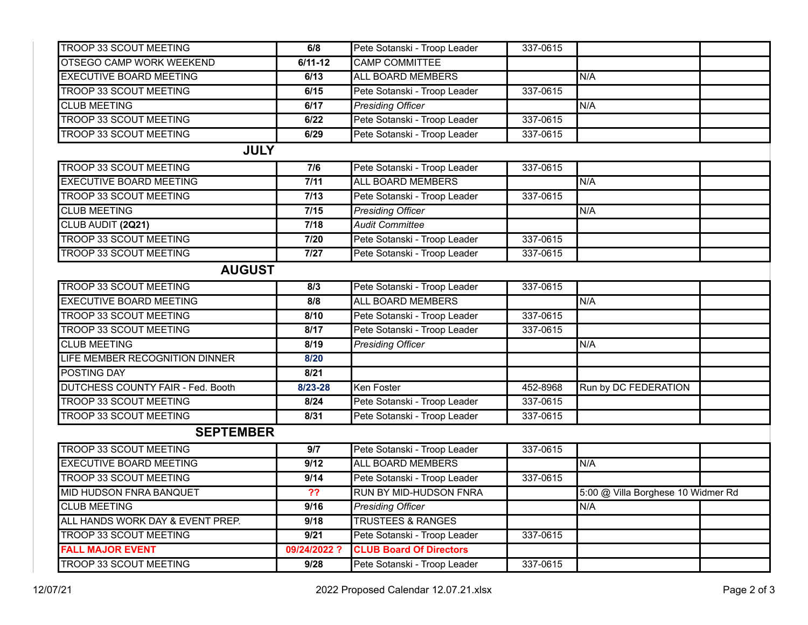| <b>TROOP 33 SCOUT MEETING</b>            | 6/8          | Pete Sotanski - Troop Leader   | 337-0615 |                                    |  |  |  |  |
|------------------------------------------|--------------|--------------------------------|----------|------------------------------------|--|--|--|--|
| OTSEGO CAMP WORK WEEKEND                 | $6/11 - 12$  | <b>CAMP COMMITTEE</b>          |          |                                    |  |  |  |  |
| <b>EXECUTIVE BOARD MEETING</b>           | 6/13         | <b>ALL BOARD MEMBERS</b>       |          | N/A                                |  |  |  |  |
| <b>TROOP 33 SCOUT MEETING</b>            | 6/15         | Pete Sotanski - Troop Leader   | 337-0615 |                                    |  |  |  |  |
| <b>CLUB MEETING</b>                      | 6/17         | <b>Presiding Officer</b>       |          | N/A                                |  |  |  |  |
| TROOP 33 SCOUT MEETING                   | 6/22         | Pete Sotanski - Troop Leader   | 337-0615 |                                    |  |  |  |  |
| <b>TROOP 33 SCOUT MEETING</b>            | 6/29         | Pete Sotanski - Troop Leader   | 337-0615 |                                    |  |  |  |  |
| <b>JULY</b>                              |              |                                |          |                                    |  |  |  |  |
| <b>TROOP 33 SCOUT MEETING</b>            | 7/6          | Pete Sotanski - Troop Leader   | 337-0615 |                                    |  |  |  |  |
| <b>EXECUTIVE BOARD MEETING</b>           | 7/11         | <b>ALL BOARD MEMBERS</b>       |          | N/A                                |  |  |  |  |
| TROOP 33 SCOUT MEETING                   | 7/13         | Pete Sotanski - Troop Leader   | 337-0615 |                                    |  |  |  |  |
| <b>CLUB MEETING</b>                      | $7/15$       | <b>Presiding Officer</b>       |          | N/A                                |  |  |  |  |
| CLUB AUDIT (2Q21)                        | 7/18         | <b>Audit Committee</b>         |          |                                    |  |  |  |  |
| <b>TROOP 33 SCOUT MEETING</b>            | 7/20         | Pete Sotanski - Troop Leader   | 337-0615 |                                    |  |  |  |  |
| TROOP 33 SCOUT MEETING                   | $7/27$       | Pete Sotanski - Troop Leader   | 337-0615 |                                    |  |  |  |  |
| <b>AUGUST</b>                            |              |                                |          |                                    |  |  |  |  |
| <b>TROOP 33 SCOUT MEETING</b>            | 8/3          | Pete Sotanski - Troop Leader   | 337-0615 |                                    |  |  |  |  |
| <b>EXECUTIVE BOARD MEETING</b>           | 8/8          | <b>ALL BOARD MEMBERS</b>       |          | N/A                                |  |  |  |  |
| <b>TROOP 33 SCOUT MEETING</b>            | 8/10         | Pete Sotanski - Troop Leader   | 337-0615 |                                    |  |  |  |  |
| <b>TROOP 33 SCOUT MEETING</b>            | 8/17         | Pete Sotanski - Troop Leader   | 337-0615 |                                    |  |  |  |  |
| <b>CLUB MEETING</b>                      | 8/19         | <b>Presiding Officer</b>       |          | N/A                                |  |  |  |  |
| LIFE MEMBER RECOGNITION DINNER           | 8/20         |                                |          |                                    |  |  |  |  |
| <b>POSTING DAY</b>                       | 8/21         |                                |          |                                    |  |  |  |  |
| <b>DUTCHESS COUNTY FAIR - Fed. Booth</b> | 8/23-28      | Ken Foster                     | 452-8968 | Run by DC FEDERATION               |  |  |  |  |
| <b>TROOP 33 SCOUT MEETING</b>            | 8/24         | Pete Sotanski - Troop Leader   | 337-0615 |                                    |  |  |  |  |
| <b>TROOP 33 SCOUT MEETING</b>            | 8/31         | Pete Sotanski - Troop Leader   | 337-0615 |                                    |  |  |  |  |
| <b>SEPTEMBER</b>                         |              |                                |          |                                    |  |  |  |  |
| TROOP 33 SCOUT MEETING                   | 9/7          | Pete Sotanski - Troop Leader   | 337-0615 |                                    |  |  |  |  |
| <b>EXECUTIVE BOARD MEETING</b>           | 9/12         | ALL BOARD MEMBERS              |          | N/A                                |  |  |  |  |
| <b>TROOP 33 SCOUT MEETING</b>            | 9/14         | Pete Sotanski - Troop Leader   | 337-0615 |                                    |  |  |  |  |
| MID HUDSON FNRA BANQUET                  | ??           | <b>RUN BY MID-HUDSON FNRA</b>  |          | 5:00 @ Villa Borghese 10 Widmer Rd |  |  |  |  |
| <b>CLUB MEETING</b>                      | 9/16         | <b>Presiding Officer</b>       |          | N/A                                |  |  |  |  |
| ALL HANDS WORK DAY & EVENT PREP.         | 9/18         | <b>TRUSTEES &amp; RANGES</b>   |          |                                    |  |  |  |  |
| TROOP 33 SCOUT MEETING                   | 9/21         | Pete Sotanski - Troop Leader   | 337-0615 |                                    |  |  |  |  |
| <b>FALL MAJOR EVENT</b>                  | 09/24/2022 ? | <b>CLUB Board Of Directors</b> |          |                                    |  |  |  |  |
| TROOP 33 SCOUT MEETING                   | 9/28         | Pete Sotanski - Troop Leader   | 337-0615 |                                    |  |  |  |  |